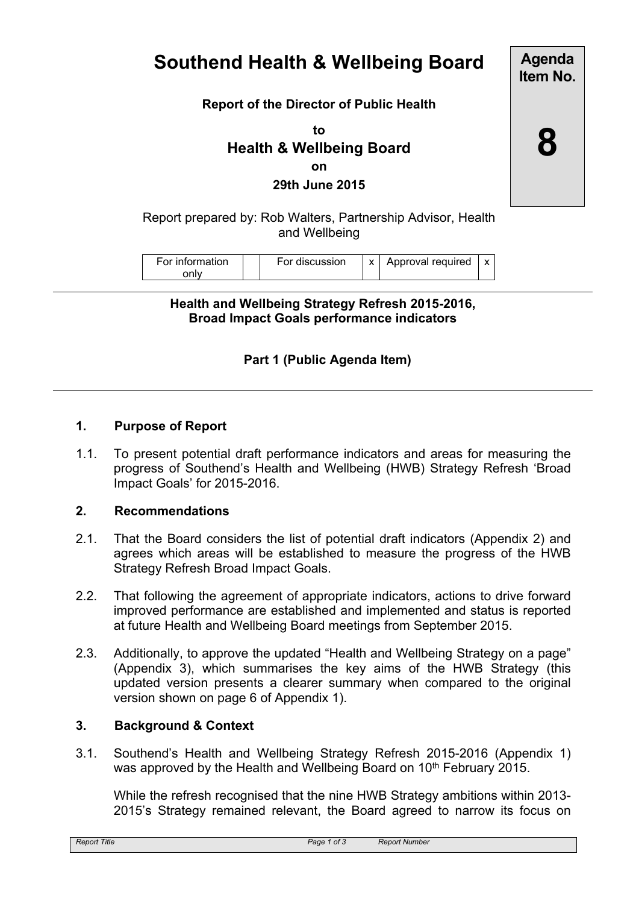# **Southend Health & Wellbeing Board**

**Agenda Item No.**

**8**

#### **Report of the Director of Public Health**

**to Health & Wellbeing Board on 29th June 2015**

Report prepared by: Rob Walters, Partnership Advisor, Health and Wellbeing

| For information | For discussion | Approval required |  |
|-----------------|----------------|-------------------|--|
|                 |                |                   |  |

**Health and Wellbeing Strategy Refresh 2015-2016, Broad Impact Goals performance indicators**

## **Part 1 (Public Agenda Item)**

#### **1. Purpose of Report**

1.1. To present potential draft performance indicators and areas for measuring the progress of Southend's Health and Wellbeing (HWB) Strategy Refresh 'Broad Impact Goals' for 2015-2016.

#### **2. Recommendations**

- 2.1. That the Board considers the list of potential draft indicators (Appendix 2) and agrees which areas will be established to measure the progress of the HWB Strategy Refresh Broad Impact Goals.
- 2.2. That following the agreement of appropriate indicators, actions to drive forward improved performance are established and implemented and status is reported at future Health and Wellbeing Board meetings from September 2015.
- 2.3. Additionally, to approve the updated "Health and Wellbeing Strategy on a page" (Appendix 3), which summarises the key aims of the HWB Strategy (this updated version presents a clearer summary when compared to the original version shown on page 6 of Appendix 1).

#### **3. Background & Context**

3.1. Southend's Health and Wellbeing Strategy Refresh 2015-2016 (Appendix 1) was approved by the Health and Wellbeing Board on 10<sup>th</sup> February 2015.

While the refresh recognised that the nine HWB Strategy ambitions within 2013- 2015's Strategy remained relevant, the Board agreed to narrow its focus on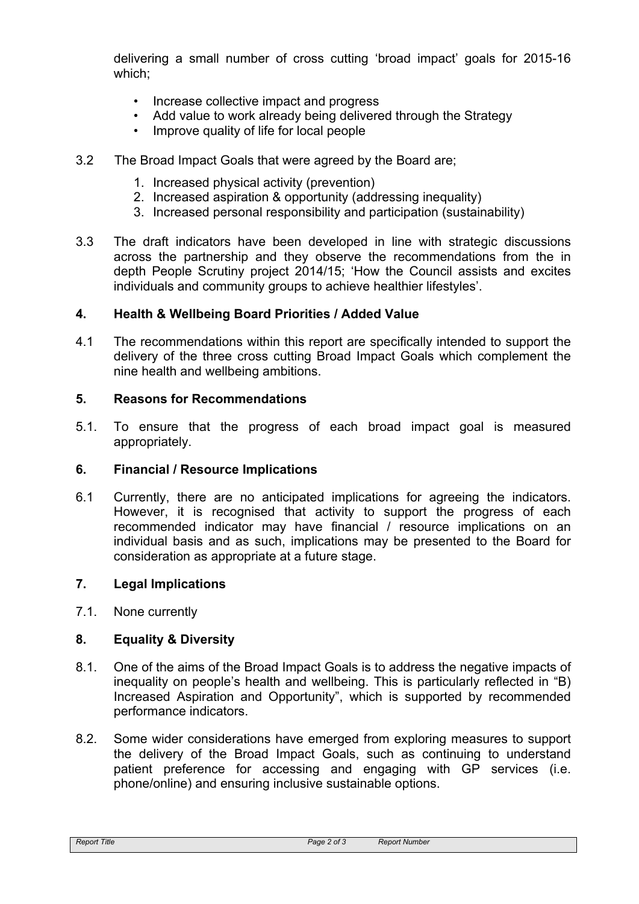delivering a small number of cross cutting 'broad impact' goals for 2015-16 which;

- Increase collective impact and progress
- Add value to work already being delivered through the Strategy
- Improve quality of life for local people
- 3.2 The Broad Impact Goals that were agreed by the Board are;
	- 1. Increased physical activity (prevention)
	- 2. Increased aspiration & opportunity (addressing inequality)
	- 3. Increased personal responsibility and participation (sustainability)
- 3.3 The draft indicators have been developed in line with strategic discussions across the partnership and they observe the recommendations from the in depth People Scrutiny project 2014/15; 'How the Council assists and excites individuals and community groups to achieve healthier lifestyles'.

#### **4. Health & Wellbeing Board Priorities / Added Value**

4.1 The recommendations within this report are specifically intended to support the delivery of the three cross cutting Broad Impact Goals which complement the nine health and wellbeing ambitions.

#### **5. Reasons for Recommendations**

5.1. To ensure that the progress of each broad impact goal is measured appropriately.

#### **6. Financial / Resource Implications**

6.1 Currently, there are no anticipated implications for agreeing the indicators. However, it is recognised that activity to support the progress of each recommended indicator may have financial / resource implications on an individual basis and as such, implications may be presented to the Board for consideration as appropriate at a future stage.

#### **7. Legal Implications**

7.1. None currently

#### **8. Equality & Diversity**

- 8.1. One of the aims of the Broad Impact Goals is to address the negative impacts of inequality on people's health and wellbeing. This is particularly reflected in "B) Increased Aspiration and Opportunity", which is supported by recommended performance indicators.
- 8.2. Some wider considerations have emerged from exploring measures to support the delivery of the Broad Impact Goals, such as continuing to understand patient preference for accessing and engaging with GP services (i.e. phone/online) and ensuring inclusive sustainable options.